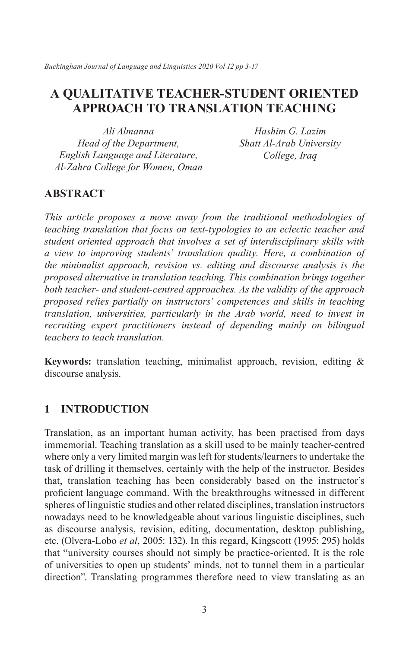*Buckingham Journal of Language and Linguistics 2020 Vol 12 pp 3-17*

# **A QUALITATIVE TEACHER-STUDENT ORIENTED APPROACH TO TRANSLATION TEACHING**

*Ali Almanna Head of the Department, English Language and Literature, Al-Zahra College for Women, Oman*

*Hashim G. Lazim Shatt Al-Arab University College, Iraq*

# **ABSTRACT**

*This article proposes a move away from the traditional methodologies of teaching translation that focus on text-typologies to an eclectic teacher and student oriented approach that involves a set of interdisciplinary skills with a view to improving students' translation quality. Here, a combination of the minimalist approach, revision vs. editing and discourse analysis is the proposed alternative in translation teaching. This combination brings together both teacher- and student-centred approaches. As the validity of the approach proposed relies partially on instructors' competences and skills in teaching translation, universities, particularly in the Arab world, need to invest in recruiting expert practitioners instead of depending mainly on bilingual teachers to teach translation.*

**Keywords:** translation teaching, minimalist approach, revision, editing & discourse analysis.

# **1 INTRODUCTION**

Translation, as an important human activity, has been practised from days immemorial. Teaching translation as a skill used to be mainly teacher-centred where only a very limited margin was left for students/learners to undertake the task of drilling it themselves, certainly with the help of the instructor. Besides that, translation teaching has been considerably based on the instructor's proficient language command. With the breakthroughs witnessed in different spheres of linguistic studies and other related disciplines, translation instructors nowadays need to be knowledgeable about various linguistic disciplines, such as discourse analysis, revision, editing, documentation, desktop publishing, etc. (Olvera-Lobo *et al*, 2005: 132). In this regard, Kingscott (1995: 295) holds that "university courses should not simply be practice-oriented. It is the role of universities to open up students' minds, not to tunnel them in a particular direction". Translating programmes therefore need to view translating as an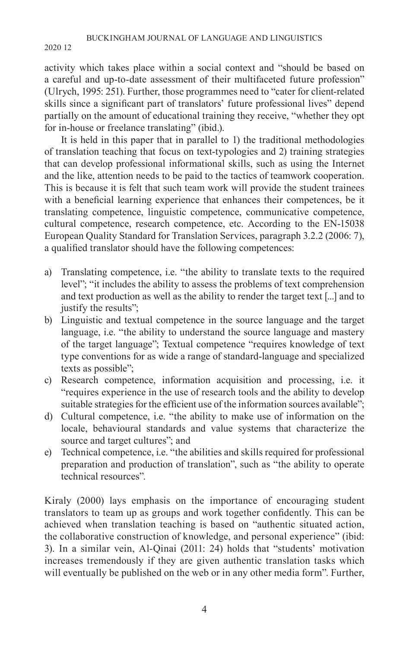activity which takes place within a social context and "should be based on a careful and up-to-date assessment of their multifaceted future profession" (Ulrych, 1995: 251). Further, those programmes need to "cater for client-related skills since a significant part of translators' future professional lives" depend partially on the amount of educational training they receive, "whether they opt for in-house or freelance translating" (ibid.).

It is held in this paper that in parallel to 1) the traditional methodologies of translation teaching that focus on text-typologies and 2) training strategies that can develop professional informational skills, such as using the Internet and the like, attention needs to be paid to the tactics of teamwork cooperation. This is because it is felt that such team work will provide the student trainees with a beneficial learning experience that enhances their competences, be it translating competence, linguistic competence, communicative competence, cultural competence, research competence, etc. According to the EN-15038 European Quality Standard for Translation Services, paragraph 3.2.2 (2006: 7), a qualified translator should have the following competences:

- a) Translating competence, i.e. "the ability to translate texts to the required level"; "it includes the ability to assess the problems of text comprehension and text production as well as the ability to render the target text [...] and to justify the results";
- b) Linguistic and textual competence in the source language and the target language, i.e. "the ability to understand the source language and mastery of the target language"; Textual competence "requires knowledge of text type conventions for as wide a range of standard-language and specialized texts as possible";
- c) Research competence, information acquisition and processing, i.e. it "requires experience in the use of research tools and the ability to develop suitable strategies for the efficient use of the information sources available";
- d) Cultural competence, i.e. "the ability to make use of information on the locale, behavioural standards and value systems that characterize the source and target cultures"; and
- e) Technical competence, i.e. "the abilities and skills required for professional preparation and production of translation", such as "the ability to operate technical resources".

Kiraly (2000) lays emphasis on the importance of encouraging student translators to team up as groups and work together confidently. This can be achieved when translation teaching is based on "authentic situated action, the collaborative construction of knowledge, and personal experience" (ibid: 3). In a similar vein, Al-Qinai (2011: 24) holds that "students' motivation increases tremendously if they are given authentic translation tasks which will eventually be published on the web or in any other media form". Further,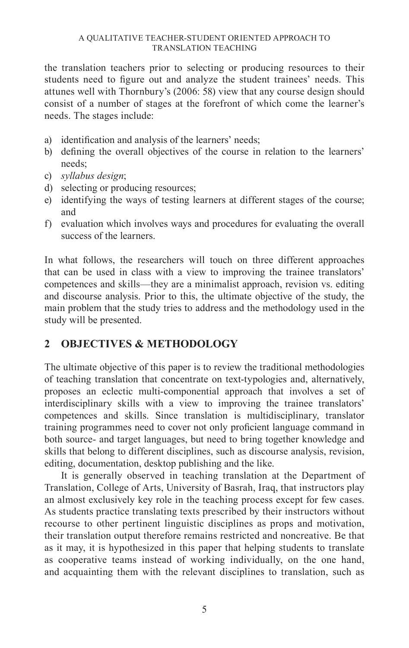the translation teachers prior to selecting or producing resources to their students need to figure out and analyze the student trainees' needs. This attunes well with Thornbury's (2006: 58) view that any course design should consist of a number of stages at the forefront of which come the learner's needs. The stages include:

- a) identification and analysis of the learners' needs;
- b) defining the overall objectives of the course in relation to the learners' needs;
- c) *syllabus design*;
- d) selecting or producing resources;
- e) identifying the ways of testing learners at different stages of the course; and
- f) evaluation which involves ways and procedures for evaluating the overall success of the learners.

In what follows, the researchers will touch on three different approaches that can be used in class with a view to improving the trainee translators' competences and skills—they are a minimalist approach, revision vs. editing and discourse analysis. Prior to this, the ultimate objective of the study, the main problem that the study tries to address and the methodology used in the study will be presented.

# **2 OBJECTIVES & METHODOLOGY**

The ultimate objective of this paper is to review the traditional methodologies of teaching translation that concentrate on text-typologies and, alternatively, proposes an eclectic multi-componential approach that involves a set of interdisciplinary skills with a view to improving the trainee translators' competences and skills. Since translation is multidisciplinary, translator training programmes need to cover not only proficient language command in both source- and target languages, but need to bring together knowledge and skills that belong to different disciplines, such as discourse analysis, revision, editing, documentation, desktop publishing and the like.

It is generally observed in teaching translation at the Department of Translation, College of Arts, University of Basrah, Iraq, that instructors play an almost exclusively key role in the teaching process except for few cases. As students practice translating texts prescribed by their instructors without recourse to other pertinent linguistic disciplines as props and motivation, their translation output therefore remains restricted and noncreative. Be that as it may, it is hypothesized in this paper that helping students to translate as cooperative teams instead of working individually, on the one hand, and acquainting them with the relevant disciplines to translation, such as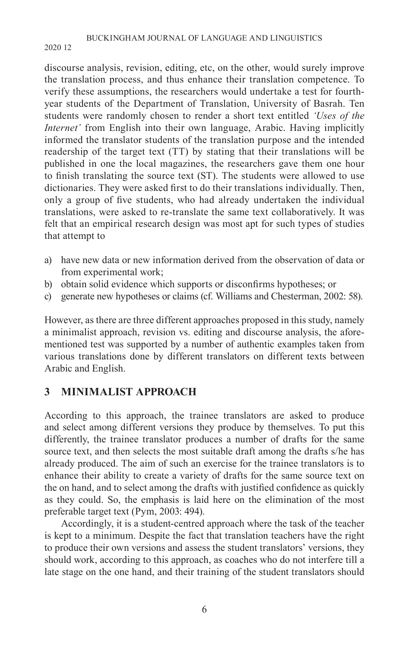discourse analysis, revision, editing, etc, on the other, would surely improve the translation process, and thus enhance their translation competence. To verify these assumptions, the researchers would undertake a test for fourthyear students of the Department of Translation, University of Basrah. Ten students were randomly chosen to render a short text entitled *'Uses of the Internet'* from English into their own language, Arabic. Having implicitly informed the translator students of the translation purpose and the intended readership of the target text (TT) by stating that their translations will be published in one the local magazines, the researchers gave them one hour to finish translating the source text (ST). The students were allowed to use dictionaries. They were asked first to do their translations individually. Then, only a group of five students, who had already undertaken the individual translations, were asked to re-translate the same text collaboratively. It was felt that an empirical research design was most apt for such types of studies that attempt to

- a) have new data or new information derived from the observation of data or from experimental work;
- b) obtain solid evidence which supports or disconfirms hypotheses; or
- c) generate new hypotheses or claims (cf. Williams and Chesterman, 2002: 58).

However, as there are three different approaches proposed in this study, namely a minimalist approach, revision vs. editing and discourse analysis, the aforementioned test was supported by a number of authentic examples taken from various translations done by different translators on different texts between Arabic and English.

# **3 MINIMALIST APPROACH**

According to this approach, the trainee translators are asked to produce and select among different versions they produce by themselves. To put this differently, the trainee translator produces a number of drafts for the same source text, and then selects the most suitable draft among the drafts s/he has already produced. The aim of such an exercise for the trainee translators is to enhance their ability to create a variety of drafts for the same source text on the on hand, and to select among the drafts with justified confidence as quickly as they could. So, the emphasis is laid here on the elimination of the most preferable target text (Pym, 2003: 494).

Accordingly, it is a student-centred approach where the task of the teacher is kept to a minimum. Despite the fact that translation teachers have the right to produce their own versions and assess the student translators' versions, they should work, according to this approach, as coaches who do not interfere till a late stage on the one hand, and their training of the student translators should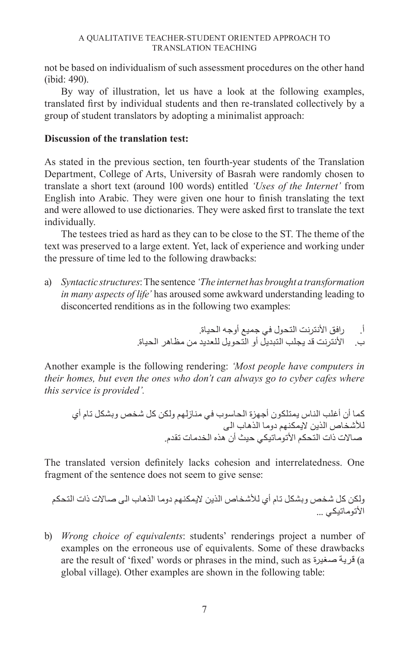not be based on individualism of such assessment procedures on the other hand (ibid: 490).

By way of illustration, let us have a look at the following examples, translated first by individual students and then re-translated collectively by a group of student translators by adopting a minimalist approach:

### **Discussion of the translation test:**

As stated in the previous section, ten fourth-year students of the Translation Department, College of Arts, University of Basrah were randomly chosen to translate a short text (around 100 words) entitled *'Uses of the Internet'* from English into Arabic. They were given one hour to finish translating the text and were allowed to use dictionaries. They were asked first to translate the text individually.

The testees tried as hard as they can to be close to the ST. The theme of the text was preserved to a large extent. Yet, lack of experience and working under the pressure of time led to the following drawbacks:

a) *Syntactic structures*: The sentence *'The internet has brought a transformation in many aspects of life'* has aroused some awkward understanding leading to disconcerted renditions as in the following two examples:

أ. رافق األنترنت التحول في جميع أوجه الحياة.

ب. األنترنت قد يجلب التبديل أو التحويل للعديد من مظاهر الحياة.

Another example is the following rendering: *'Most people have computers in their homes, but even the ones who don't can always go to cyber cafes where this service is provided'.*

كما أن أغلب الناس يمتلكون أجهزة الحاسوب في منازلهم ولكن كل شخص وبشكل تام أي لألشخاص الذين اليمكنهم دوما الذهاب الى صاالت ذات التحكم األتوماتيكي حيث أن هذه الخدمات تقدم.

The translated version definitely lacks cohesion and interrelatedness. One fragment of the sentence does not seem to give sense:

ولكن كل شخص وبشكل تام أي لألشخاص الذين اليمكنهم دوما الذهاب الى صاالت ذات التحكم الأتوماتيكي ...

b) *Wrong choice of equivalents*: students' renderings project a number of examples on the erroneous use of equivalents. Some of these drawbacks are the result of 'fixed' words or phrases in the mind, such as صغيرة قرية) a global village). Other examples are shown in the following table: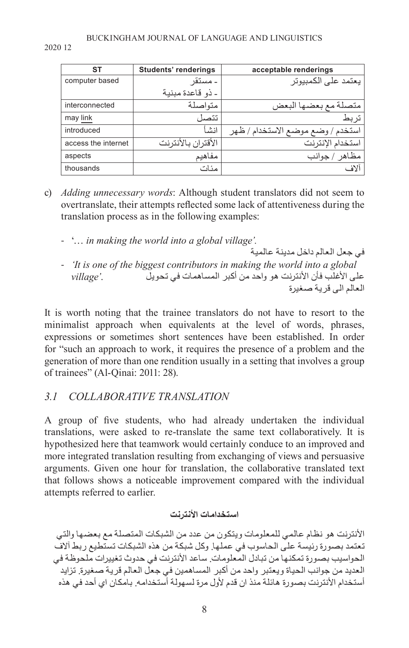| <b>ST</b>           | <b>Students' renderings</b> | acceptable renderings             |
|---------------------|-----------------------------|-----------------------------------|
| computer based      | - مستقر                     | يعتمد على الكمبيوتر               |
|                     | - ذو قاعدة مبنية            |                                   |
| interconnected      | متواصلة                     | متصلة مع بعضها البعض              |
| may link            | تتصا                        | تربط                              |
| introduced          | انشأ                        | استخدم / وضع موضع الاستخدام / ظهر |
| access the internet | الأقتران بالأنترنت          | استخدام الإنترنت                  |
| aspects             | مفاهيم                      | مظاهر / جوانب                     |
| thousands           | مئات                        | آلاف                              |

- c) *Adding unnecessary words*: Although student translators did not seem to overtranslate, their attempts reflected some lack of attentiveness during the translation process as in the following examples:
	- '… *in making the world into a global village'.*
	- في جعل العالم داخل مدينة عالمية - *'It is one of the biggest contributors in making the world into a global*  على األغلب فأن األنترنت هو واحد من أكبر المساهمات في تحويل .*'village* العالم الى قرية صغيرة

It is worth noting that the trainee translators do not have to resort to the minimalist approach when equivalents at the level of words, phrases, expressions or sometimes short sentences have been established. In order for "such an approach to work, it requires the presence of a problem and the generation of more than one rendition usually in a setting that involves a group of trainees" (Al-Qinai: 2011: 28).

# *3.1 COLLABORATIVE TRANSLATION*

A group of five students, who had already undertaken the individual translations, were asked to re-translate the same text collaboratively. It is hypothesized here that teamwork would certainly conduce to an improved and more integrated translation resulting from exchanging of views and persuasive arguments. Given one hour for translation, the collaborative translated text that follows shows a noticeable improvement compared with the individual attempts referred to earlier.

# **استخدامات األنترنت**

األنترنت هو نظام عالمي للمعلومات ويتكون من عدد من الشبكات المتصلة مع بعضها والتي تعتمد بصورة رئيسة على الحاسوب في عملها. وكل شبكة من هذه الشبكات تستطيع ربط آالف الحواسيب بصورة تمكنها من تبادل المعلومات. ساعد األنترنت في حدوث تغييرات ملحوظة في العديد من جوانب الحياة ويعتبر واحد من أكبر المساهمين في جعل العالم قرية صغيرة. تزايد أستخدام الأنترنت بصورة هائلة منذ ان قدم لأول مرة لسهولة أستخدامه. بامكان اي أحد في هذه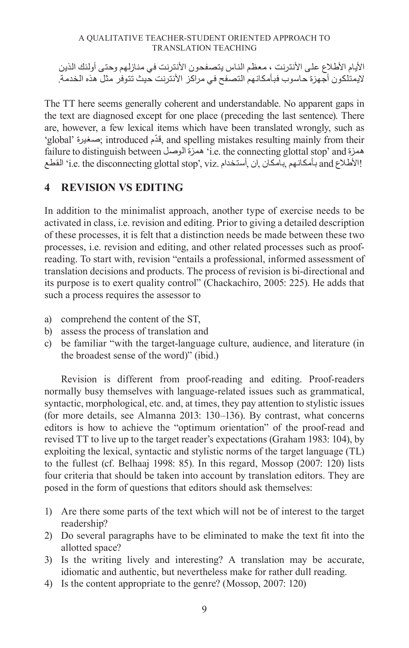الأيام الأطلاع على الأنترنت ، معظم الناس يتصفحون الأنترنت في منازلهم وحتى أولئك الذين اليمتلكون أجهزة حاسوب فبأمكانهم التصفح في مراكز األنترنت حيث تتوفر مثل هذه الخدمة.

The TT here seems generally coherent and understandable. No apparent gaps in the text are diagnosed except for one place (preceding the last sentence). There are, however, a few lexical items which have been translated wrongly, such as 'global' صغيرة ;introduced قدمّ , and spelling mistakes resulting mainly from their failure to distinguish between الوصل همزة' i.e. the connecting glottal stop' and همزة الأطلاع and بأمكانهم بامكان إن أستخدام .i.e. the disconnecting glottal stop', viz' القطع 'i.e. the disconnecting

# **4 REVISION VS EDITING**

In addition to the minimalist approach, another type of exercise needs to be activated in class, i.e. revision and editing. Prior to giving a detailed description of these processes, it is felt that a distinction needs be made between these two processes, i.e. revision and editing, and other related processes such as proofreading. To start with, revision "entails a professional, informed assessment of translation decisions and products. The process of revision is bi-directional and its purpose is to exert quality control" (Chackachiro, 2005: 225). He adds that such a process requires the assessor to

- a) comprehend the content of the ST,
- b) assess the process of translation and
- c) be familiar "with the target-language culture, audience, and literature (in the broadest sense of the word)" (ibid.)

Revision is different from proof-reading and editing. Proof-readers normally busy themselves with language-related issues such as grammatical, syntactic, morphological, etc. and, at times, they pay attention to stylistic issues (for more details, see Almanna 2013: 130–136). By contrast, what concerns editors is how to achieve the "optimum orientation" of the proof-read and revised TT to live up to the target reader's expectations (Graham 1983: 104), by exploiting the lexical, syntactic and stylistic norms of the target language (TL) to the fullest (cf. Belhaaj 1998: 85). In this regard, Mossop (2007: 120) lists four criteria that should be taken into account by translation editors. They are posed in the form of questions that editors should ask themselves:

- 1) Are there some parts of the text which will not be of interest to the target readership?
- 2) Do several paragraphs have to be eliminated to make the text fit into the allotted space?
- 3) Is the writing lively and interesting? A translation may be accurate, idiomatic and authentic, but nevertheless make for rather dull reading.
- 4) Is the content appropriate to the genre? (Mossop, 2007: 120)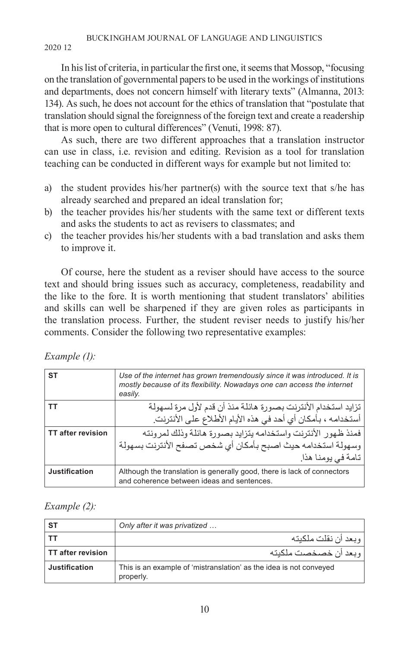### BUCKINGHAM JOURNAL OF LANGUAGE AND LINGUISTICS

2020 12

In his list of criteria, in particular the first one, it seems that Mossop, "focusing on the translation of governmental papers to be used in the workings of institutions and departments, does not concern himself with literary texts" (Almanna, 2013: 134). As such, he does not account for the ethics of translation that "postulate that translation should signal the foreignness of the foreign text and create a readership that is more open to cultural differences" (Venuti, 1998: 87).

As such, there are two different approaches that a translation instructor can use in class, i.e. revision and editing. Revision as a tool for translation teaching can be conducted in different ways for example but not limited to:

- a) the student provides his/her partner(s) with the source text that s/he has already searched and prepared an ideal translation for;
- b) the teacher provides his/her students with the same text or different texts and asks the students to act as revisers to classmates; and
- c) the teacher provides his/her students with a bad translation and asks them to improve it.

Of course, here the student as a reviser should have access to the source text and should bring issues such as accuracy, completeness, readability and the like to the fore. It is worth mentioning that student translators' abilities and skills can well be sharpened if they are given roles as participants in the translation process. Further, the student reviser needs to justify his/her comments. Consider the following two representative examples:

| Example (1): |  |
|--------------|--|
|--------------|--|

| <b>ST</b>                | Use of the internet has grown tremendously since it was introduced. It is<br>mostly because of its flexibility. Nowadays one can access the internet<br>easily. |
|--------------------------|-----------------------------------------------------------------------------------------------------------------------------------------------------------------|
|                          | تزايد استخدام الأنترنت بصورة هائلة منذ أن قدم لأول مرة لسهولة                                                                                                   |
|                          | أستخدامه ، بـأمكان أي أحد في هذه الأيام الأطلاع على الأنترنت.                                                                                                   |
| <b>TT after revision</b> | فمنذ ظهور  الأنترنت واستخدامه بتزايد بصورة هائلة وذلك لمر ونته                                                                                                  |
|                          | وسهولة استخدامه حيث اصبح بأمكان أي شخص تصفح الأنترنت بسهولة                                                                                                     |
|                          | تامة في يومنا هذا ِ                                                                                                                                             |
| Justification            | Although the translation is generally good, there is lack of connectors<br>and coherence between ideas and sentences.                                           |

*Example (2):*

| <b>ST</b>                | Only after it was privatized                                                    |  |
|--------------------------|---------------------------------------------------------------------------------|--|
|                          | وبعد أن نقلت ملكبته                                                             |  |
| <b>TT after revision</b> | وبعد أن خصخصت ملكنته                                                            |  |
| <b>Justification</b>     | This is an example of 'mistranslation' as the idea is not conveyed<br>properly. |  |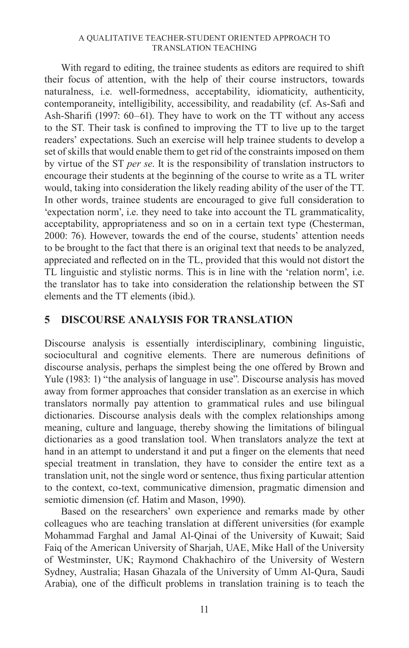With regard to editing, the trainee students as editors are required to shift their focus of attention, with the help of their course instructors, towards naturalness, i.e. well-formedness, acceptability, idiomaticity, authenticity, contemporaneity, intelligibility, accessibility, and readability (cf. As-Safi and Ash-Sharifi (1997: 60–61). They have to work on the TT without any access to the ST. Their task is confined to improving the TT to live up to the target readers' expectations. Such an exercise will help trainee students to develop a set of skills that would enable them to get rid of the constraints imposed on them by virtue of the ST *per se*. It is the responsibility of translation instructors to encourage their students at the beginning of the course to write as a TL writer would, taking into consideration the likely reading ability of the user of the TT. In other words, trainee students are encouraged to give full consideration to 'expectation norm', i.e. they need to take into account the TL grammaticality, acceptability, appropriateness and so on in a certain text type (Chesterman, 2000: 76). However, towards the end of the course, students' attention needs to be brought to the fact that there is an original text that needs to be analyzed, appreciated and reflected on in the TL, provided that this would not distort the TL linguistic and stylistic norms. This is in line with the 'relation norm', i.e. the translator has to take into consideration the relationship between the ST elements and the TT elements (ibid.).

# **5 DISCOURSE ANALYSIS FOR TRANSLATION**

Discourse analysis is essentially interdisciplinary, combining linguistic, sociocultural and cognitive elements. There are numerous definitions of discourse analysis, perhaps the simplest being the one offered by Brown and Yule (1983: 1) "the analysis of language in use". Discourse analysis has moved away from former approaches that consider translation as an exercise in which translators normally pay attention to grammatical rules and use bilingual dictionaries. Discourse analysis deals with the complex relationships among meaning, culture and language, thereby showing the limitations of bilingual dictionaries as a good translation tool. When translators analyze the text at hand in an attempt to understand it and put a finger on the elements that need special treatment in translation, they have to consider the entire text as a translation unit, not the single word or sentence, thus fixing particular attention to the context, co-text, communicative dimension, pragmatic dimension and semiotic dimension (cf. Hatim and Mason, 1990).

Based on the researchers' own experience and remarks made by other colleagues who are teaching translation at different universities (for example Mohammad Farghal and Jamal Al-Qinai of the University of Kuwait; Said Faiq of the American University of Sharjah, UAE, Mike Hall of the University of Westminster, UK; Raymond Chakhachiro of the University of Western Sydney, Australia; Hasan Ghazala of the University of Umm Al-Qura, Saudi Arabia), one of the difficult problems in translation training is to teach the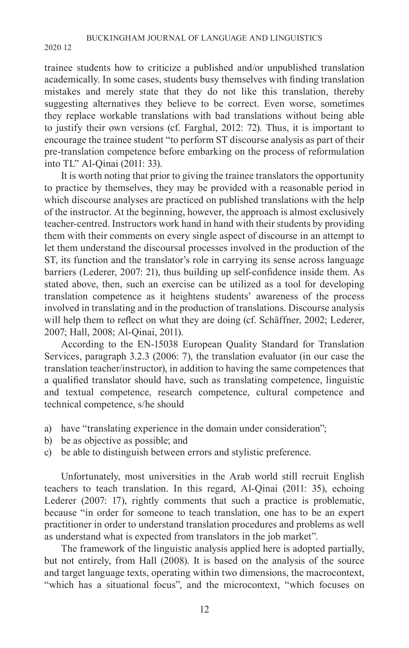trainee students how to criticize a published and/or unpublished translation academically. In some cases, students busy themselves with finding translation mistakes and merely state that they do not like this translation, thereby suggesting alternatives they believe to be correct. Even worse, sometimes they replace workable translations with bad translations without being able to justify their own versions (cf. Farghal, 2012: 72). Thus, it is important to encourage the trainee student "to perform ST discourse analysis as part of their pre-translation competence before embarking on the process of reformulation into TL" Al-Qinai (2011: 33).

It is worth noting that prior to giving the trainee translators the opportunity to practice by themselves, they may be provided with a reasonable period in which discourse analyses are practiced on published translations with the help of the instructor. At the beginning, however, the approach is almost exclusively teacher-centred. Instructors work hand in hand with their students by providing them with their comments on every single aspect of discourse in an attempt to let them understand the discoursal processes involved in the production of the ST, its function and the translator's role in carrying its sense across language barriers (Lederer, 2007: 21), thus building up self-confidence inside them. As stated above, then, such an exercise can be utilized as a tool for developing translation competence as it heightens students' awareness of the process involved in translating and in the production of translations. Discourse analysis will help them to reflect on what they are doing (cf. Schäffner, 2002; Lederer, 2007; Hall, 2008; Al-Qinai, 2011).

According to the EN-15038 European Quality Standard for Translation Services, paragraph 3.2.3 (2006: 7), the translation evaluator (in our case the translation teacher/instructor), in addition to having the same competences that a qualified translator should have, such as translating competence, linguistic and textual competence, research competence, cultural competence and technical competence, s/he should

- a) have "translating experience in the domain under consideration";
- b) be as objective as possible; and
- c) be able to distinguish between errors and stylistic preference.

Unfortunately, most universities in the Arab world still recruit English teachers to teach translation. In this regard, Al-Qinai (2011: 35), echoing Lederer (2007: 17), rightly comments that such a practice is problematic, because "in order for someone to teach translation, one has to be an expert practitioner in order to understand translation procedures and problems as well as understand what is expected from translators in the job market".

The framework of the linguistic analysis applied here is adopted partially, but not entirely, from Hall (2008). It is based on the analysis of the source and target language texts, operating within two dimensions, the macrocontext, "which has a situational focus", and the microcontext, "which focuses on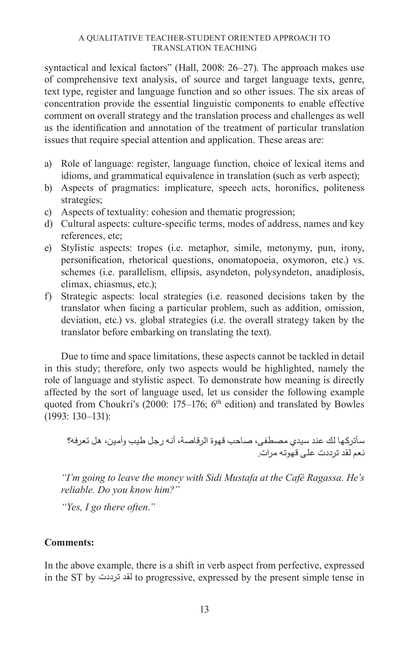syntactical and lexical factors" (Hall, 2008: 26–27). The approach makes use of comprehensive text analysis, of source and target language texts, genre, text type, register and language function and so other issues. The six areas of concentration provide the essential linguistic components to enable effective comment on overall strategy and the translation process and challenges as well as the identification and annotation of the treatment of particular translation issues that require special attention and application. These areas are:

- a) Role of language: register, language function, choice of lexical items and idioms, and grammatical equivalence in translation (such as verb aspect);
- b) Aspects of pragmatics: implicature, speech acts, horonifics, politeness strategies;
- c) Aspects of textuality: cohesion and thematic progression;
- d) Cultural aspects: culture-specific terms, modes of address, names and key references, etc;
- e) Stylistic aspects: tropes (i.e. metaphor, simile, metonymy, pun, irony, personification, rhetorical questions, onomatopoeia, oxymoron, etc.) vs. schemes (i.e. parallelism, ellipsis, asyndeton, polysyndeton, anadiplosis, climax, chiasmus, etc.);
- f) Strategic aspects: local strategies (i.e. reasoned decisions taken by the translator when facing a particular problem, such as addition, omission, deviation, etc.) vs. global strategies (i.e. the overall strategy taken by the translator before embarking on translating the text).

Due to time and space limitations, these aspects cannot be tackled in detail in this study; therefore, only two aspects would be highlighted, namely the role of language and stylistic aspect. To demonstrate how meaning is directly affected by the sort of language used, let us consider the following example quoted from Choukri's (2000:  $175-176$ ; 6<sup>th</sup> edition) and translated by Bowles (1993: 130–131):

سأتركها لك عند سيدي مصطفى، صاحب قهوة الرقاصة، أنه رجل طيب وأمين، هل تعرفه؟ نعم لقد ترددت على قهوته مرات.

*"I'm going to leave the money with Sidi Mustafa at the Café Ragassa. He's reliable. Do you know him?"*

*"Yes, I go there often."*

### **Comments:**

In the above example, there is a shift in verb aspect from perfective, expressed in the ST by ترددت لقد to progressive, expressed by the present simple tense in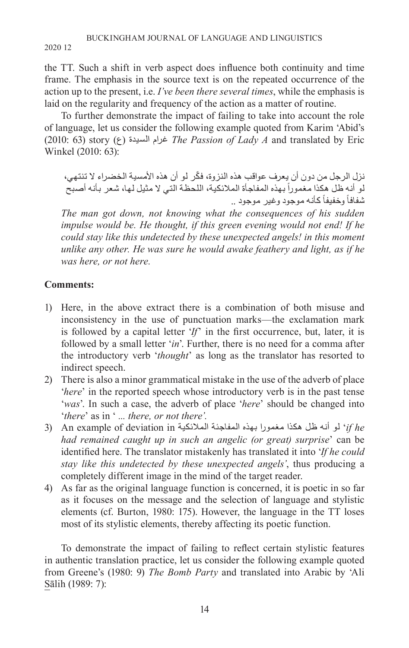the TT. Such a shift in verb aspect does influence both continuity and time frame. The emphasis in the source text is on the repeated occurrence of the action up to the present, i.e. *I've been there several times*, while the emphasis is laid on the regularity and frequency of the action as a matter of routine.

To further demonstrate the impact of failing to take into account the role of language, let us consider the following example quoted from Karim 'Abid's (2010: 63) story (ع )السيدة غرام *The Passion of Lady A* and translated by Eric Winkel (2010: 63):

ّ نزل الرجل من دون أن يعرف عواقب هذه النزوة، فكر لو أن هذه األمسية الخضراء ال تنتهي، لو أنه ظل هكذا مغموراً بهذه المفاجأة الملائكية، اللحظة التي لا مثيل لها، شعر بأنه أصبح ثىفافاً وخفيفاً كأنه موجود وغير موجود ..

*The man got down, not knowing what the consequences of his sudden impulse would be. He thought, if this green evening would not end! If he could stay like this undetected by these unexpected angels! in this moment unlike any other. He was sure he would awake feathery and light, as if he was here, or not here.*

# **Comments:**

- 1) Here, in the above extract there is a combination of both misuse and inconsistency in the use of punctuation marks—the exclamation mark is followed by a capital letter '*If*' in the first occurrence, but, later, it is followed by a small letter '*in*'. Further, there is no need for a comma after the introductory verb '*thought*' as long as the translator has resorted to indirect speech.
- 2) There is also a minor grammatical mistake in the use of the adverb of place '*here*' in the reported speech whose introductory verb is in the past tense '*was*'. In such a case, the adverb of place '*here*' should be changed into '*there*' as in ' *... there, or not there'.*
- if he if ' لو أنه ظل هكذا مغمورا بهذه المفاجئة الملائكية An example of deviation in *had remained caught up in such an angelic (or great) surprise*' can be identified here. The translator mistakenly has translated it into '*If he could stay like this undetected by these unexpected angels'*, thus producing a completely different image in the mind of the target reader.
- 4) As far as the original language function is concerned, it is poetic in so far as it focuses on the message and the selection of language and stylistic elements (cf. Burton, 1980: 175). However, the language in the TT loses most of its stylistic elements, thereby affecting its poetic function.

To demonstrate the impact of failing to reflect certain stylistic features in authentic translation practice, let us consider the following example quoted from Greene's (1980: 9) *The Bomb Party* and translated into Arabic by 'Ali Sālih (1989: 7):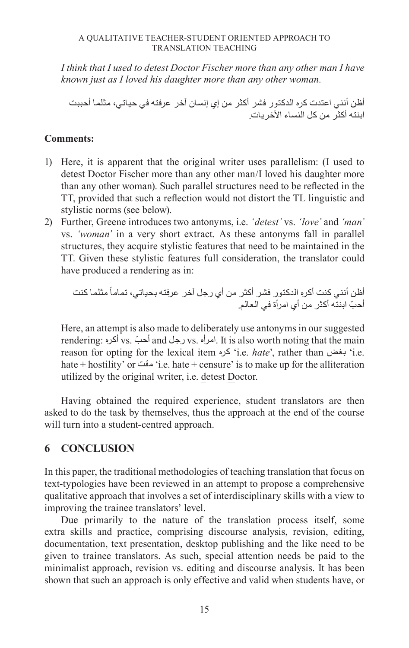*I think that I used to detest Doctor Fischer more than any other man I have known just as I loved his daughter more than any other woman.*

أظن أنني اعتدت كره الدكتور فشر أكثر من إي إنسان آخر عرفته في حياتي، مثلما أحببت ابنته أكثر ً من كل النساء الأخر يات.

### **Comments:**

- 1) Here, it is apparent that the original writer uses parallelism: (I used to detest Doctor Fischer more than any other man/I loved his daughter more than any other woman). Such parallel structures need to be reflected in the TT, provided that such a reflection would not distort the TL linguistic and stylistic norms (see below).
- 2) Further, Greene introduces two antonyms, i.e. *'detest'* vs. *'love'* and *'man'* vs. *'woman'* in a very short extract. As these antonyms fall in parallel structures, they acquire stylistic features that need to be maintained in the TT. Given these stylistic features full consideration, the translator could have produced a rendering as in:

ً مثلما كنت أظن أنني كنت أكره الدكتور فشر أكثر من أي رجل آخر عرفته بحياتي، تماما ّ أحب ابنته أكثر من أي امرأة في العالم.

Here, an attempt is also made to deliberately use antonyms in our suggested rendering: أكره vs. أحب ّ and رجل vs. امرأه. It is also worth noting that the main reason for opting for the lexical item كره' i.e. *hate*', rather than بغض' i.e. hate + hostility' or مقت' i.e. hate + censure' is to make up for the alliteration utilized by the original writer, i.e. detest Doctor.

Having obtained the required experience, student translators are then asked to do the task by themselves, thus the approach at the end of the course will turn into a student-centred approach.

# **6 CONCLUSION**

In this paper, the traditional methodologies of teaching translation that focus on text-typologies have been reviewed in an attempt to propose a comprehensive qualitative approach that involves a set of interdisciplinary skills with a view to improving the trainee translators' level.

Due primarily to the nature of the translation process itself, some extra skills and practice, comprising discourse analysis, revision, editing, documentation, text presentation, desktop publishing and the like need to be given to trainee translators. As such, special attention needs be paid to the minimalist approach, revision vs. editing and discourse analysis. It has been shown that such an approach is only effective and valid when students have, or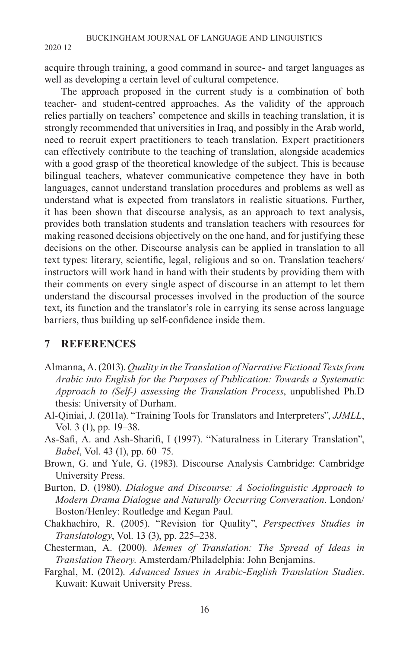acquire through training, a good command in source- and target languages as well as developing a certain level of cultural competence.

The approach proposed in the current study is a combination of both teacher- and student-centred approaches. As the validity of the approach relies partially on teachers' competence and skills in teaching translation, it is strongly recommended that universities in Iraq, and possibly in the Arab world, need to recruit expert practitioners to teach translation. Expert practitioners can effectively contribute to the teaching of translation, alongside academics with a good grasp of the theoretical knowledge of the subject. This is because bilingual teachers, whatever communicative competence they have in both languages, cannot understand translation procedures and problems as well as understand what is expected from translators in realistic situations. Further, it has been shown that discourse analysis, as an approach to text analysis, provides both translation students and translation teachers with resources for making reasoned decisions objectively on the one hand, and for justifying these decisions on the other. Discourse analysis can be applied in translation to all text types: literary, scientific, legal, religious and so on. Translation teachers/ instructors will work hand in hand with their students by providing them with their comments on every single aspect of discourse in an attempt to let them understand the discoursal processes involved in the production of the source text, its function and the translator's role in carrying its sense across language barriers, thus building up self-confidence inside them.

### **7 REFERENCES**

- Almanna, A. (2013). *Quality in the Translation of Narrative Fictional Texts from Arabic into English for the Purposes of Publication: Towards a Systematic Approach to (Self-) assessing the Translation Process*, unpublished Ph.D thesis: University of Durham.
- Al-Qiniai, J. (2011a). "Training Tools for Translators and Interpreters", *JJMLL*, Vol. 3 (1), pp. 19–38.
- As-Safi, A. and Ash-Sharifi, I (1997). "Naturalness in Literary Translation", *Babel*, Vol. 43 (1), pp. 60–75.
- Brown, G. and Yule, G. (1983). Discourse Analysis Cambridge: Cambridge University Press.
- Burton, D. (1980). *Dialogue and Discourse: A Sociolinguistic Approach to Modern Drama Dialogue and Naturally Occurring Conversation*. London/ Boston/Henley: Routledge and Kegan Paul.
- Chakhachiro, R. (2005). "Revision for Quality", *Perspectives Studies in Translatology*, Vol. 13 (3), pp. 225–238.
- Chesterman, A. (2000). *Memes of Translation: The Spread of Ideas in Translation Theory.* Amsterdam/Philadelphia: John Benjamins.
- Farghal, M. (2012). *Advanced Issues in Arabic-English Translation Studies*. Kuwait: Kuwait University Press.